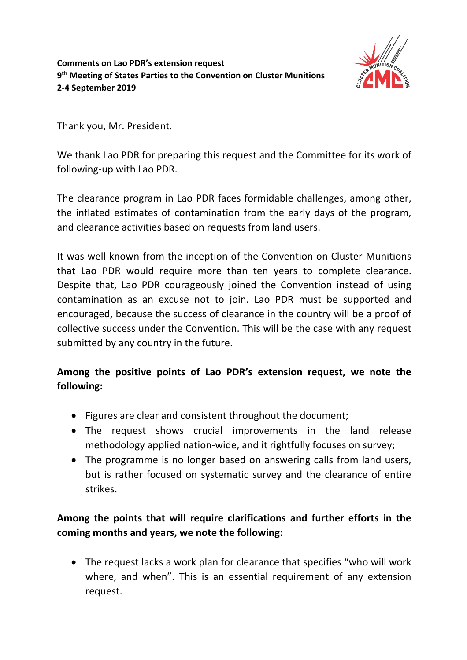

Thank you, Mr. President.

We thank Lao PDR for preparing this request and the Committee for its work of following-up with Lao PDR.

The clearance program in Lao PDR faces formidable challenges, among other, the inflated estimates of contamination from the early days of the program, and clearance activities based on requests from land users.

It was well-known from the inception of the Convention on Cluster Munitions that Lao PDR would require more than ten years to complete clearance. Despite that, Lao PDR courageously joined the Convention instead of using contamination as an excuse not to join. Lao PDR must be supported and encouraged, because the success of clearance in the country will be a proof of collective success under the Convention. This will be the case with any request submitted by any country in the future.

## **Among the positive points of Lao PDR's extension request, we note the following:**

- Figures are clear and consistent throughout the document;
- The request shows crucial improvements in the land release methodology applied nation-wide, and it rightfully focuses on survey;
- The programme is no longer based on answering calls from land users, but is rather focused on systematic survey and the clearance of entire strikes.

## **Among the points that will require clarifications and further efforts in the coming months and years, we note the following:**

• The request lacks a work plan for clearance that specifies "who will work where, and when". This is an essential requirement of any extension request.